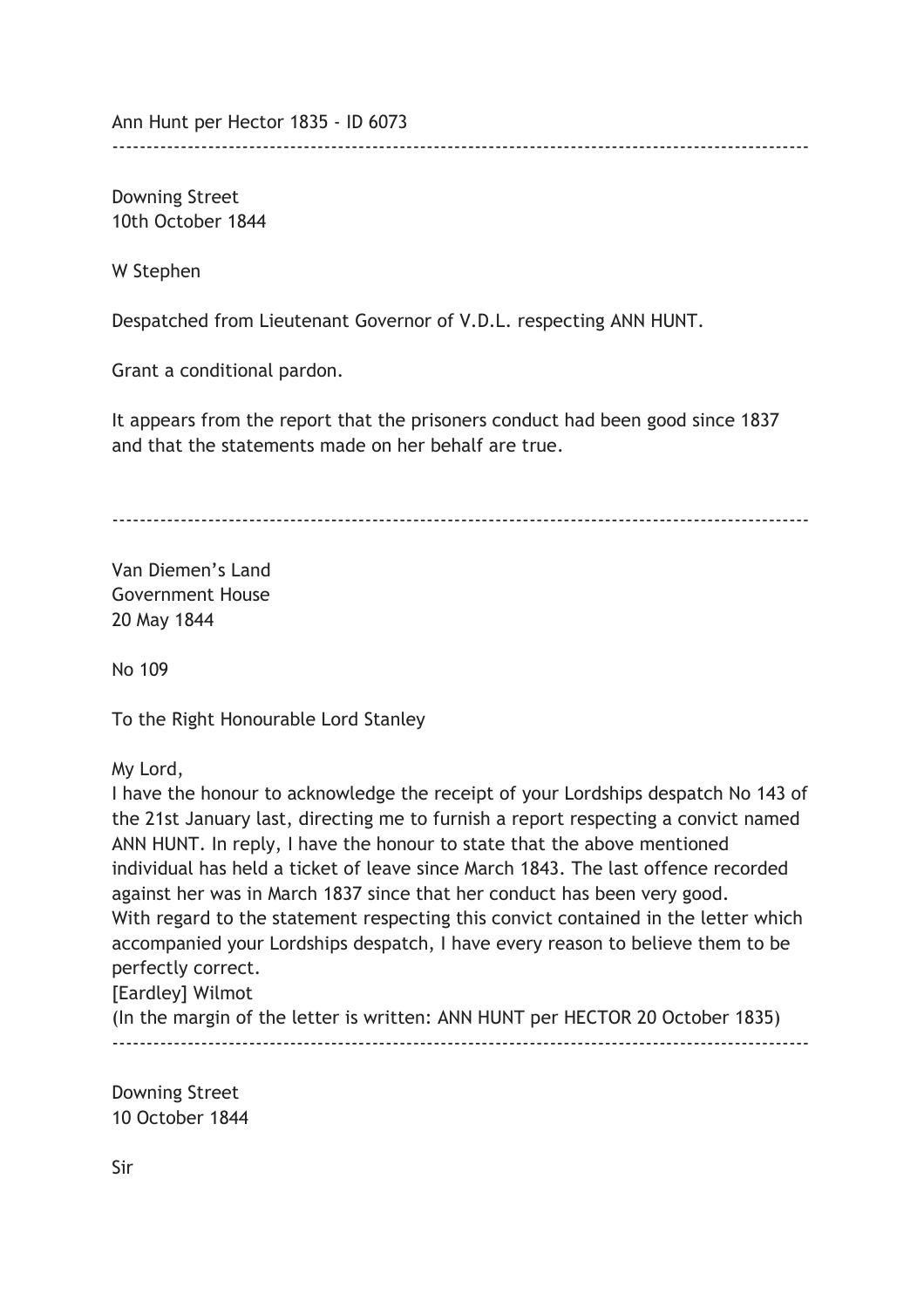Ann Hunt per Hector 1835 - ID 6073

Downing Street 10th October 1844

W Stephen

Despatched from Lieutenant Governor of V.D.L. respecting ANN HUNT.

Grant a conditional pardon.

It appears from the report that the prisoners conduct had been good since 1837 and that the statements made on her behalf are true.

------------------------------------------------------------------------------------------------------

------------------------------------------------------------------------------------------------------

Van Diemen's Land Government House 20 May 1844

No 109

To the Right Honourable Lord Stanley

My Lord,

I have the honour to acknowledge the receipt of your Lordships despatch No 143 of the 21st January last, directing me to furnish a report respecting a convict named ANN HUNT. In reply, I have the honour to state that the above mentioned individual has held a ticket of leave since March 1843. The last offence recorded against her was in March 1837 since that her conduct has been very good. With regard to the statement respecting this convict contained in the letter which accompanied your Lordships despatch, I have every reason to believe them to be perfectly correct. [Eardley] Wilmot

(In the margin of the letter is written: ANN HUNT per HECTOR 20 October 1835) ------------------------------------------------------------------------------------------------------

Downing Street 10 October 1844

Sir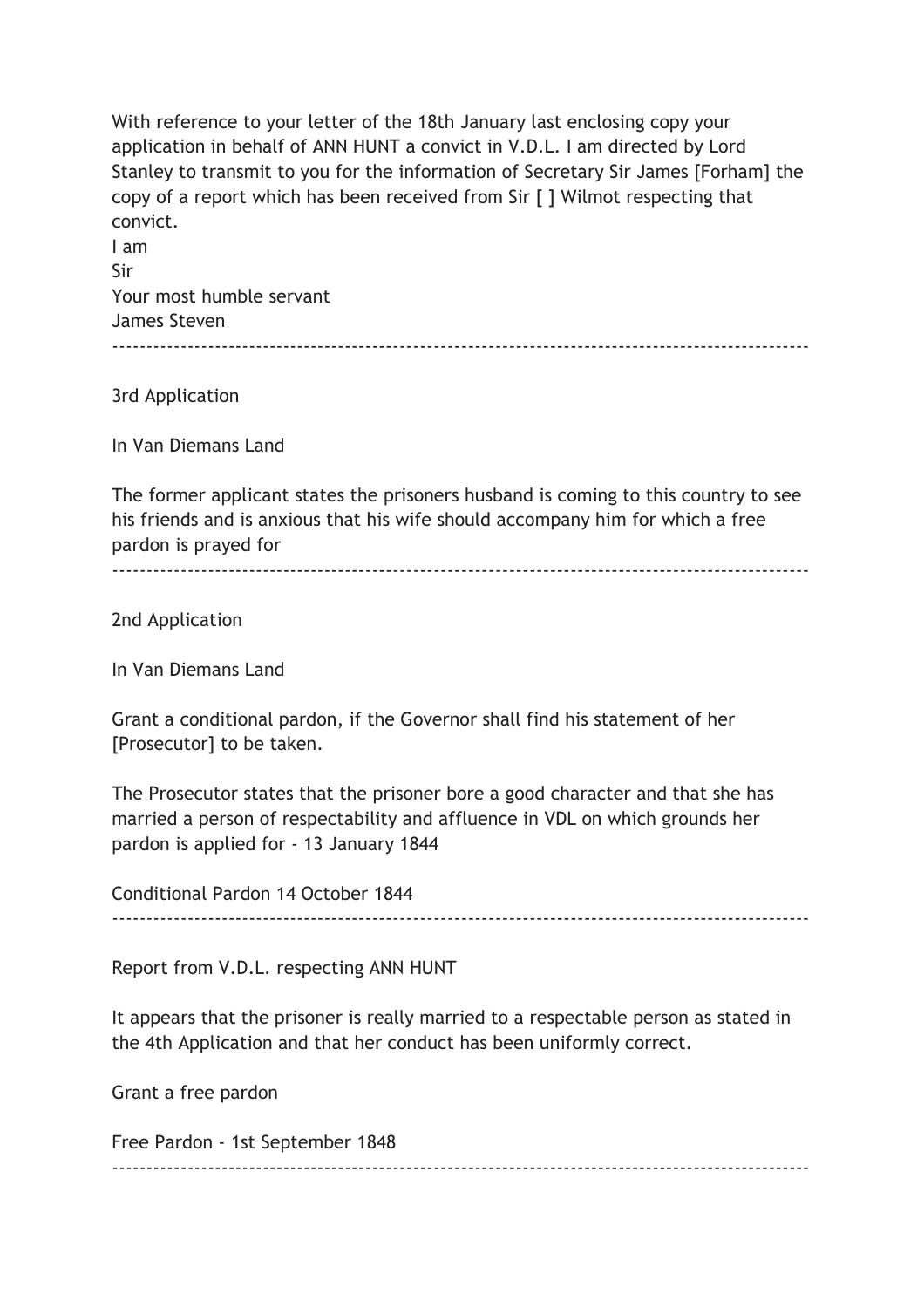With reference to your letter of the 18th January last enclosing copy your application in behalf of ANN HUNT a convict in V.D.L. I am directed by Lord Stanley to transmit to you for the information of Secretary Sir James [Forham] the copy of a report which has been received from Sir [ ] Wilmot respecting that convict.

I am Sir Your most humble servant James Steven ------------------------------------------------------------------------------------------------------

3rd Application

In Van Diemans Land

The former applicant states the prisoners husband is coming to this country to see his friends and is anxious that his wife should accompany him for which a free pardon is prayed for

------------------------------------------------------------------------------------------------------

2nd Application

In Van Diemans Land

Grant a conditional pardon, if the Governor shall find his statement of her [Prosecutor] to be taken.

The Prosecutor states that the prisoner bore a good character and that she has married a person of respectability and affluence in VDL on which grounds her pardon is applied for - 13 January 1844

Conditional Pardon 14 October 1844

------------------------------------------------------------------------------------------------------

Report from V.D.L. respecting ANN HUNT

It appears that the prisoner is really married to a respectable person as stated in the 4th Application and that her conduct has been uniformly correct.

Grant a free pardon

Free Pardon - 1st September 1848 ------------------------------------------------------------------------------------------------------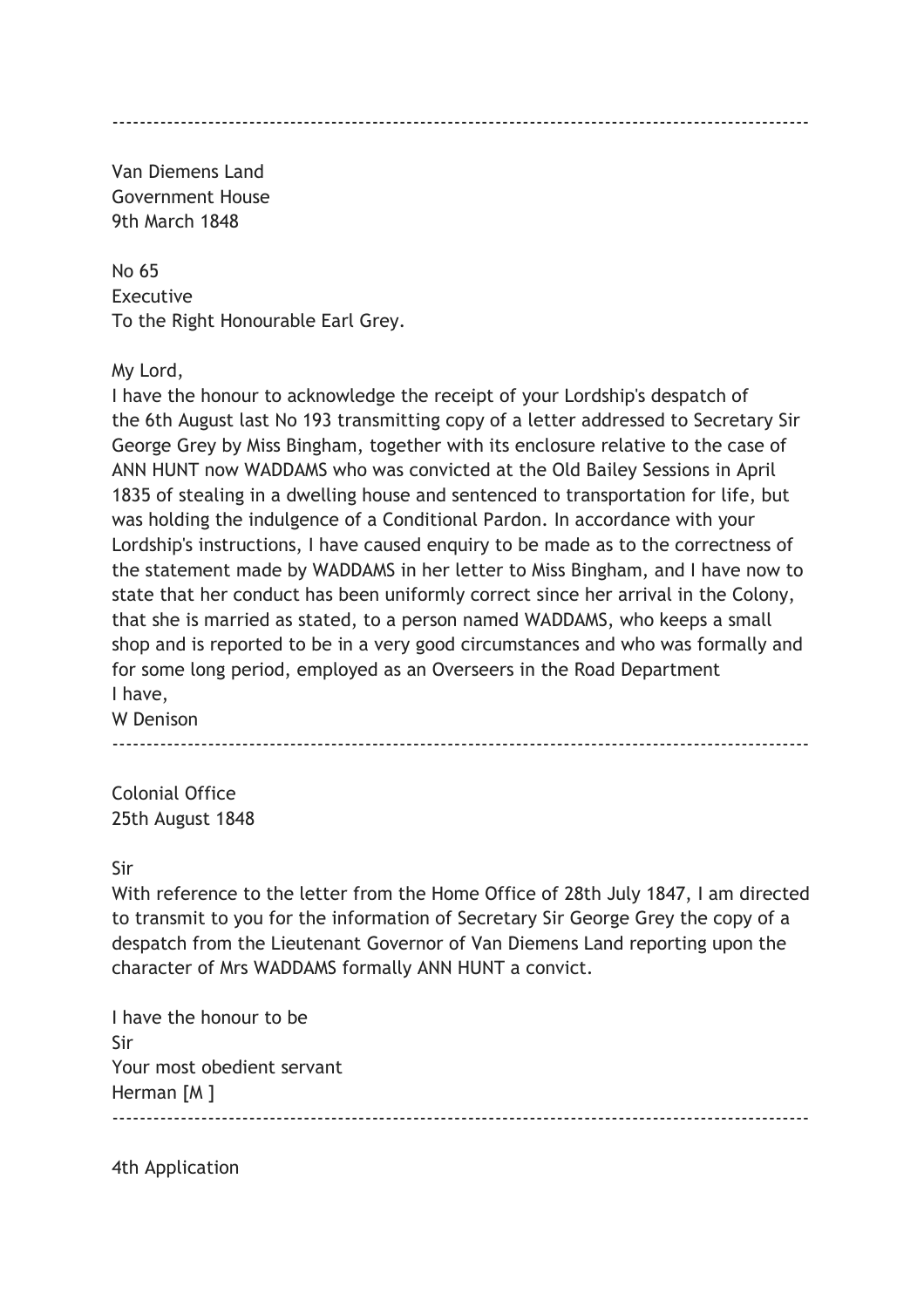Van Diemens Land Government House 9th March 1848

No 65 Executive To the Right Honourable Earl Grey.

My Lord,

I have the honour to acknowledge the receipt of your Lordship's despatch of the 6th August last No 193 transmitting copy of a letter addressed to Secretary Sir George Grey by Miss Bingham, together with its enclosure relative to the case of ANN HUNT now WADDAMS who was convicted at the Old Bailey Sessions in April 1835 of stealing in a dwelling house and sentenced to transportation for life, but was holding the indulgence of a Conditional Pardon. In accordance with your Lordship's instructions, I have caused enquiry to be made as to the correctness of the statement made by WADDAMS in her letter to Miss Bingham, and I have now to state that her conduct has been uniformly correct since her arrival in the Colony, that she is married as stated, to a person named WADDAMS, who keeps a small shop and is reported to be in a very good circumstances and who was formally and for some long period, employed as an Overseers in the Road Department I have,

W Denison

------------------------------------------------------------------------------------------------------

Colonial Office 25th August 1848

Sir

With reference to the letter from the Home Office of 28th July 1847, I am directed to transmit to you for the information of Secretary Sir George Grey the copy of a despatch from the Lieutenant Governor of Van Diemens Land reporting upon the character of Mrs WADDAMS formally ANN HUNT a convict.

------------------------------------------------------------------------------------------------------

I have the honour to be Sir Your most obedient servant Herman [M ]

4th Application